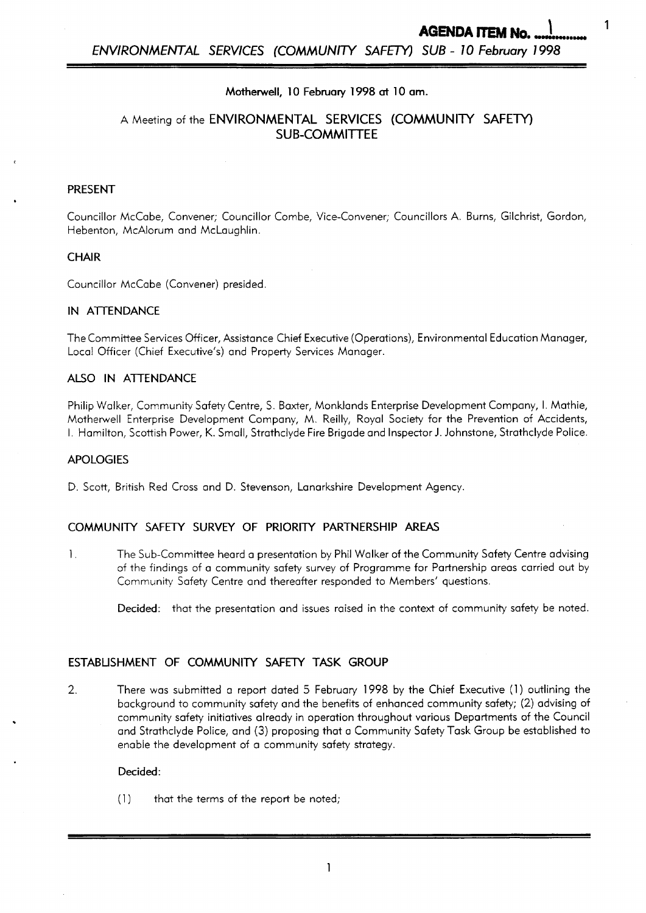1

## **Motherwell, 10 February** *1998* **at 10 am.**

# A Meeting of the **ENVIRONMENTAL SERVICES** (COMMUNITY SAFETY) **SUB-COMMITTEE**

## **PRESENT**

*P* 

Councillor McCabe, Convener; Councillor Combe, Vice-Convener; Councillors A. Burns, Gilchrist, Gordon, Hebenton, McAlorum and Mclaughlin.

## **CHAIR**

Councillor McCabe (Convener) presided.

#### **IN ATTENDANCE**

The Committee Services Officer, Assistance Chief Executive (Operations), Environmental Education Manager, Local Officer (Chief Executive's) and Property Services Manager.

## **ALSO IN ATENDANCE**

Philip Walker, Community Safety Centre, S. Baxter, Monklands Enterprise Development Company, I. Mathie, Motherwell Enterprise Development Company, M. Reilly, Royal Society for the Prevention of Accidents, I. Hamilton, Scottish Power, K. Small, Strathclyde Fire Brigade and Inspector J. Johnstone, Strathclyde Police.

#### **APOLOGIES**

D. Scott, British Red Cross and D. Stevenson, Lanarkshire Development Agency.

## **COMMUNITY SAFETY SURVEY OF PRIORITY PARTNERSHIP** *AREAS*

1. The Sub-Committee heard a presentation by Phi1 Walker of the Community Safety Centre advising of the findings of a community safety survey of Programme for Partnership areas carried out by Community Safety Centre and thereafter responded to Members' questions.

**Decided:** that the presentation and issues raised in the context of community safety be noted

## **ESTABLISHMENT OF COMMUNITY** *SAFETY* **TASK GROUP**

2. There was submitted a report dated 5 February **1998** by the Chief Executive **(1)** outlining the background to community safety and the benefits of enhanced community safety; (2) advising of community safety initiatives already in operation throughout various Departments of the Council and Strathclyde Police, and (3) proposing that a Community Safety Task Group be established to enable the development of a community safety strategy.

#### **Decided:**

 $(1)$  that the terms of the report be noted;